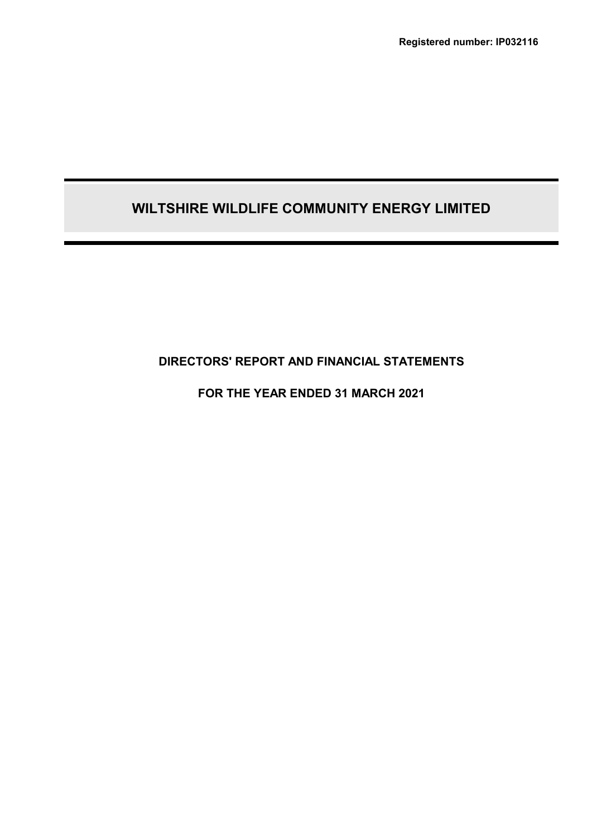# **DIRECTORS' REPORT AND FINANCIAL STATEMENTS**

# **FOR THE YEAR ENDED 31 MARCH 2021**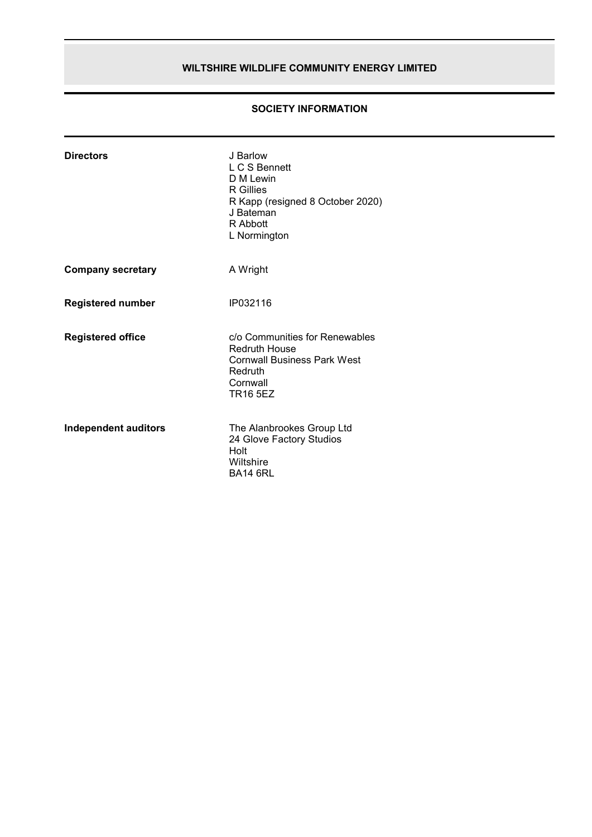### **SOCIETY INFORMATION**

| <b>Directors</b>            | J Barlow<br>L C S Bennett<br>D M Lewin<br><b>R</b> Gillies<br>R Kapp (resigned 8 October 2020)<br>J Bateman<br>R Abbott<br>L Normington |
|-----------------------------|-----------------------------------------------------------------------------------------------------------------------------------------|
| <b>Company secretary</b>    | A Wright                                                                                                                                |
| <b>Registered number</b>    | IP032116                                                                                                                                |
| <b>Registered office</b>    | c/o Communities for Renewables<br><b>Redruth House</b><br><b>Cornwall Business Park West</b><br>Redruth<br>Cornwall<br><b>TR16 5FZ</b>  |
| <b>Independent auditors</b> | The Alanbrookes Group Ltd<br>24 Glove Factory Studios<br>Holt<br>Wiltshire<br><b>BA14 6RL</b>                                           |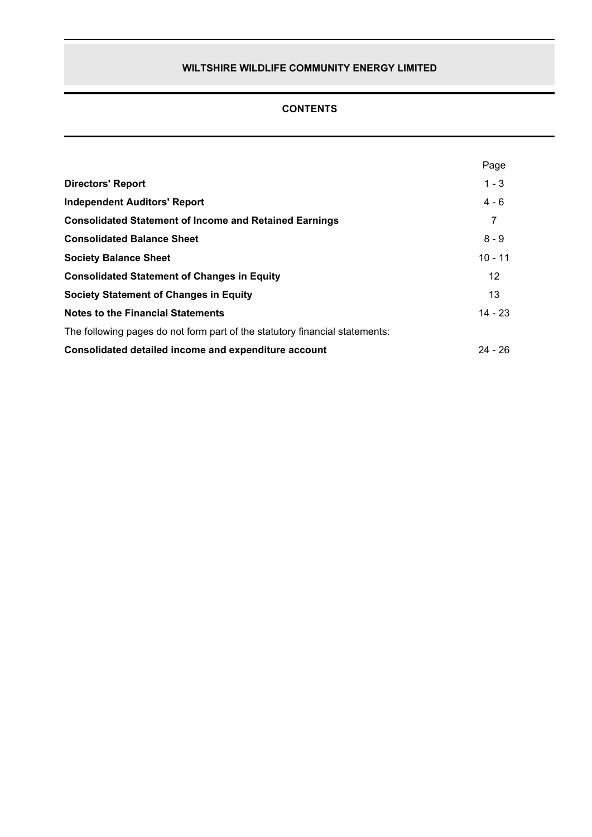# **CONTENTS**

|                                                                             | Page              |
|-----------------------------------------------------------------------------|-------------------|
| <b>Directors' Report</b>                                                    | $1 - 3$           |
| <b>Independent Auditors' Report</b>                                         | $4 - 6$           |
| <b>Consolidated Statement of Income and Retained Earnings</b>               | 7                 |
| <b>Consolidated Balance Sheet</b>                                           | $8 - 9$           |
| <b>Society Balance Sheet</b>                                                | $10 - 11$         |
| <b>Consolidated Statement of Changes in Equity</b>                          | $12 \overline{ }$ |
| <b>Society Statement of Changes in Equity</b>                               | 13                |
| <b>Notes to the Financial Statements</b>                                    | $14 - 23$         |
| The following pages do not form part of the statutory financial statements: |                   |
| Consolidated detailed income and expenditure account                        | $24 - 26$         |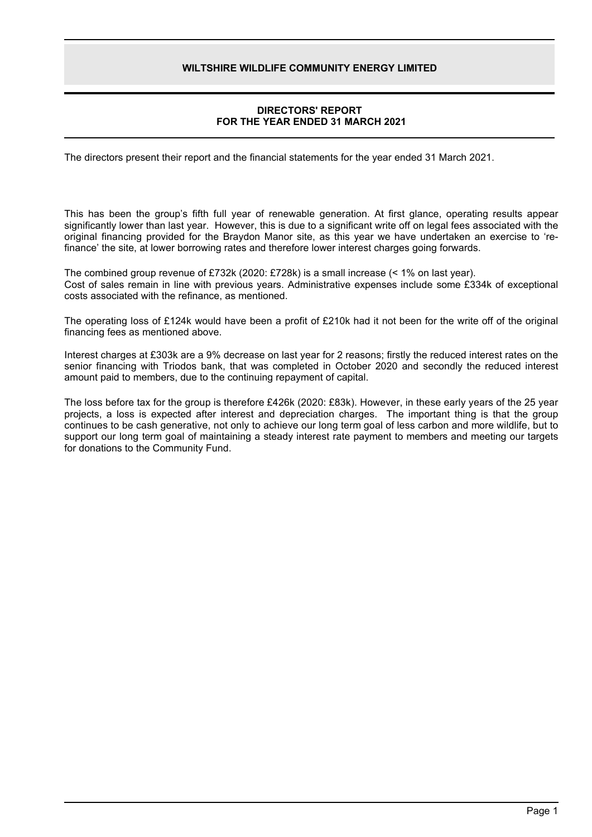# **DIRECTORS' REPORT FOR THE YEAR ENDED 31 MARCH 2021**

The directors present their report and the financial statements for the year ended 31 March 2021.

This has been the group's fifth full year of renewable generation. At first glance, operating results appear significantly lower than last year. However, this is due to a significant write off on legal fees associated with the original financing provided for the Braydon Manor site, as this year we have undertaken an exercise to 'refinance' the site, at lower borrowing rates and therefore lower interest charges going forwards.

The combined group revenue of £732k (2020: £728k) is a small increase (< 1% on last year). Cost of sales remain in line with previous years. Administrative expenses include some £334k of exceptional costs associated with the refinance, as mentioned.

The operating loss of £124k would have been a profit of £210k had it not been for the write off of the original financing fees as mentioned above.

Interest charges at £303k are a 9% decrease on last year for 2 reasons; firstly the reduced interest rates on the senior financing with Triodos bank, that was completed in October 2020 and secondly the reduced interest amount paid to members, due to the continuing repayment of capital.

The loss before tax for the group is therefore £426k (2020: £83k). However, in these early years of the 25 year projects, a loss is expected after interest and depreciation charges. The important thing is that the group continues to be cash generative, not only to achieve our long term goal of less carbon and more wildlife, but to support our long term goal of maintaining a steady interest rate payment to members and meeting our targets for donations to the Community Fund.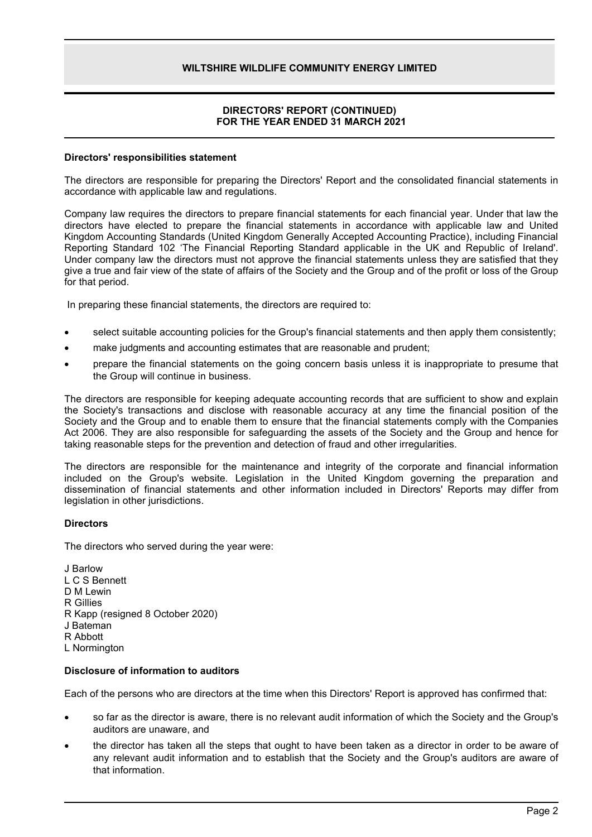# **DIRECTORS' REPORT (CONTINUED) FOR THE YEAR ENDED 31 MARCH 2021**

#### **Directors' responsibilities statement**

The directors are responsible for preparing the Directors' Report and the consolidated financial statements in accordance with applicable law and regulations.

Company law requires the directors to prepare financial statements for each financial year. Under that law the directors have elected to prepare the financial statements in accordance with applicable law and United Kingdom Accounting Standards (United Kingdom Generally Accepted Accounting Practice), including Financial Reporting Standard 102 'The Financial Reporting Standard applicable in the UK and Republic of Ireland'. Under company law the directors must not approve the financial statements unless they are satisfied that they give a true and fair view of the state of affairs of the Society and the Group and of the profit or loss of the Group for that period.

In preparing these financial statements, the directors are required to:

- select suitable accounting policies for the Group's financial statements and then apply them consistently;
- make judgments and accounting estimates that are reasonable and prudent;
- prepare the financial statements on the going concern basis unless it is inappropriate to presume that the Group will continue in business.

The directors are responsible for keeping adequate accounting records that are sufficient to show and explain the Society's transactions and disclose with reasonable accuracy at any time the financial position of the Society and the Group and to enable them to ensure that the financial statements comply with the Companies Act 2006. They are also responsible for safeguarding the assets of the Society and the Group and hence for taking reasonable steps for the prevention and detection of fraud and other irregularities.

The directors are responsible for the maintenance and integrity of the corporate and financial information included on the Group's website. Legislation in the United Kingdom governing the preparation and dissemination of financial statements and other information included in Directors' Reports may differ from legislation in other jurisdictions.

# **Directors**

The directors who served during the year were:

J Barlow L C S Bennett D M Lewin R Gillies R Kapp (resigned 8 October 2020) J Bateman R Abbott L Normington

# **Disclosure of information to auditors**

Each of the persons who are directors at the time when this Directors' Report is approved has confirmed that:

- so far as the director is aware, there is no relevant audit information of which the Society and the Group's auditors are unaware, and
- the director has taken all the steps that ought to have been taken as a director in order to be aware of any relevant audit information and to establish that the Society and the Group's auditors are aware of that information.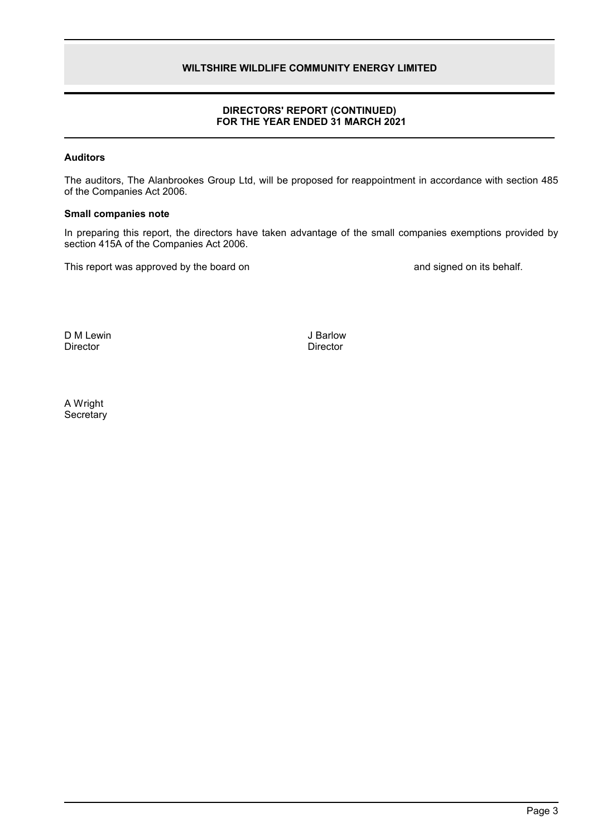# **DIRECTORS' REPORT (CONTINUED) FOR THE YEAR ENDED 31 MARCH 2021**

# **Auditors**

The auditors, The Alanbrookes Group Ltd, will be proposed for reappointment in accordance with section 485 of the Companies Act 2006.

# **Small companies note**

In preparing this report, the directors have taken advantage of the small companies exemptions provided by section 415A of the Companies Act 2006.

This report was approved by the board on and signed on its behalf.

D M Lewin Director

J Barlow Director

A Wright **Secretary**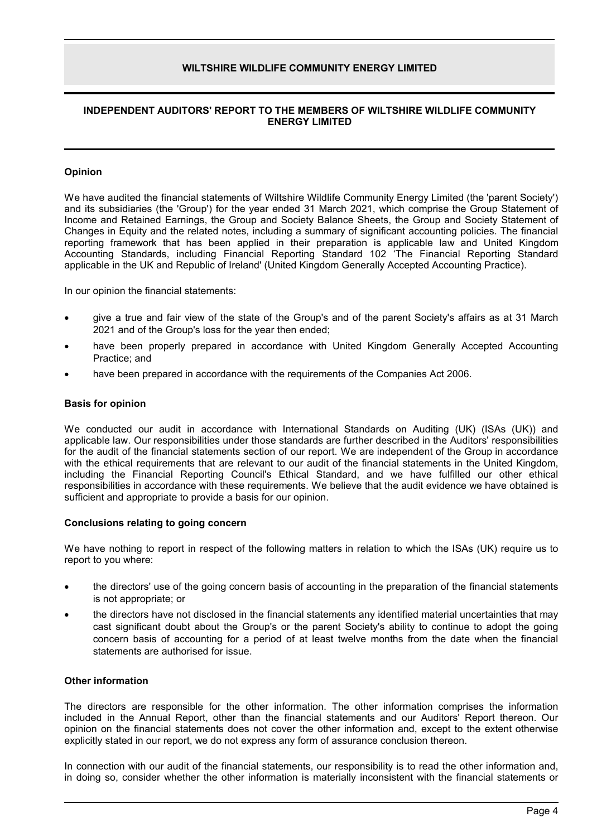### **INDEPENDENT AUDITORS' REPORT TO THE MEMBERS OF WILTSHIRE WILDLIFE COMMUNITY ENERGY LIMITED**

# **Opinion**

We have audited the financial statements of Wiltshire Wildlife Community Energy Limited (the 'parent Society') and its subsidiaries (the 'Group') for the year ended 31 March 2021, which comprise the Group Statement of Income and Retained Earnings, the Group and Society Balance Sheets, the Group and Society Statement of Changes in Equity and the related notes, including a summary of significant accounting policies. The financial reporting framework that has been applied in their preparation is applicable law and United Kingdom Accounting Standards, including Financial Reporting Standard 102 'The Financial Reporting Standard applicable in the UK and Republic of Ireland' (United Kingdom Generally Accepted Accounting Practice).

In our opinion the financial statements:

- give a true and fair view of the state of the Group's and of the parent Society's affairs as at 31 March 2021 and of the Group's loss for the year then ended;
- have been properly prepared in accordance with United Kingdom Generally Accepted Accounting Practice; and
- have been prepared in accordance with the requirements of the Companies Act 2006.

#### **Basis for opinion**

We conducted our audit in accordance with International Standards on Auditing (UK) (ISAs (UK)) and applicable law. Our responsibilities under those standards are further described in the Auditors' responsibilities for the audit of the financial statements section of our report. We are independent of the Group in accordance with the ethical requirements that are relevant to our audit of the financial statements in the United Kingdom, including the Financial Reporting Council's Ethical Standard, and we have fulfilled our other ethical responsibilities in accordance with these requirements. We believe that the audit evidence we have obtained is sufficient and appropriate to provide a basis for our opinion.

#### **Conclusions relating to going concern**

We have nothing to report in respect of the following matters in relation to which the ISAs (UK) require us to report to you where:

- the directors' use of the going concern basis of accounting in the preparation of the financial statements is not appropriate; or
- the directors have not disclosed in the financial statements any identified material uncertainties that may cast significant doubt about the Group's or the parent Society's ability to continue to adopt the going concern basis of accounting for a period of at least twelve months from the date when the financial statements are authorised for issue.

# **Other information**

The directors are responsible for the other information. The other information comprises the information included in the Annual Report, other than the financial statements and our Auditors' Report thereon. Our opinion on the financial statements does not cover the other information and, except to the extent otherwise explicitly stated in our report, we do not express any form of assurance conclusion thereon.

In connection with our audit of the financial statements, our responsibility is to read the other information and, in doing so, consider whether the other information is materially inconsistent with the financial statements or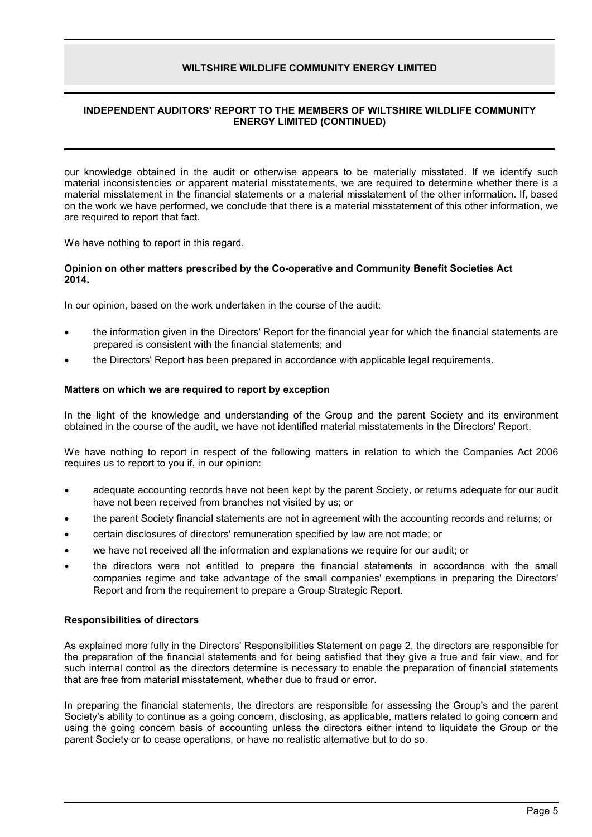# **INDEPENDENT AUDITORS' REPORT TO THE MEMBERS OF WILTSHIRE WILDLIFE COMMUNITY ENERGY LIMITED (CONTINUED)**

our knowledge obtained in the audit or otherwise appears to be materially misstated. If we identify such material inconsistencies or apparent material misstatements, we are required to determine whether there is a material misstatement in the financial statements or a material misstatement of the other information. If, based on the work we have performed, we conclude that there is a material misstatement of this other information, we are required to report that fact.

We have nothing to report in this regard.

#### **Opinion on other matters prescribed by the Co-operative and Community Benefit Societies Act 2014.**

In our opinion, based on the work undertaken in the course of the audit:

- the information given in the Directors' Report for the financial year for which the financial statements are prepared is consistent with the financial statements; and
- the Directors' Report has been prepared in accordance with applicable legal requirements.

#### **Matters on which we are required to report by exception**

In the light of the knowledge and understanding of the Group and the parent Society and its environment obtained in the course of the audit, we have not identified material misstatements in the Directors' Report.

We have nothing to report in respect of the following matters in relation to which the Companies Act 2006 requires us to report to you if, in our opinion:

- adequate accounting records have not been kept by the parent Society, or returns adequate for our audit have not been received from branches not visited by us; or
- the parent Society financial statements are not in agreement with the accounting records and returns; or
- certain disclosures of directors' remuneration specified by law are not made; or
- we have not received all the information and explanations we require for our audit; or
- the directors were not entitled to prepare the financial statements in accordance with the small companies regime and take advantage of the small companies' exemptions in preparing the Directors' Report and from the requirement to prepare a Group Strategic Report.

#### **Responsibilities of directors**

As explained more fully in the Directors' Responsibilities Statement on page 2, the directors are responsible for the preparation of the financial statements and for being satisfied that they give a true and fair view, and for such internal control as the directors determine is necessary to enable the preparation of financial statements that are free from material misstatement, whether due to fraud or error.

In preparing the financial statements, the directors are responsible for assessing the Group's and the parent Society's ability to continue as a going concern, disclosing, as applicable, matters related to going concern and using the going concern basis of accounting unless the directors either intend to liquidate the Group or the parent Society or to cease operations, or have no realistic alternative but to do so.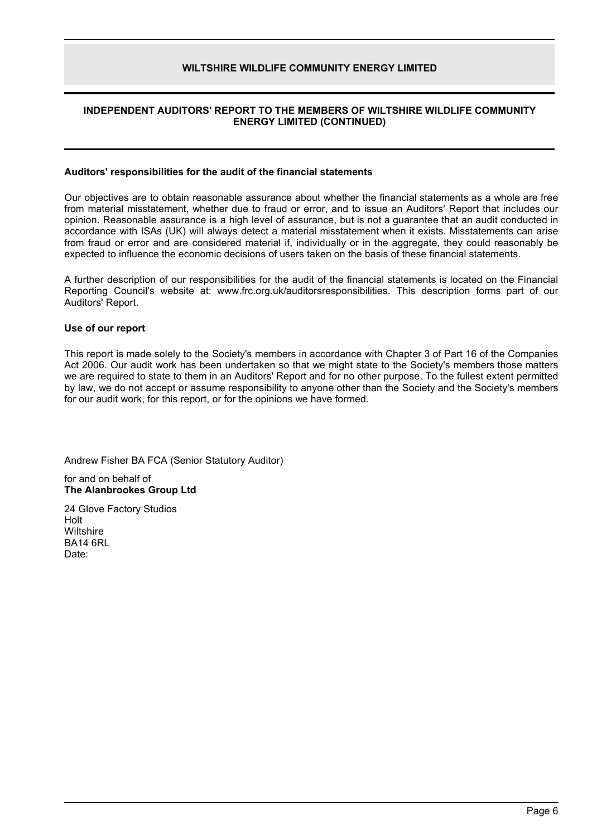### **INDEPENDENT AUDITORS' REPORT TO THE MEMBERS OF WILTSHIRE WILDLIFE COMMUNITY ENERGY LIMITED (CONTINUED)**

#### **Auditors' responsibilities for the audit of the financial statements**

Our objectives are to obtain reasonable assurance about whether the financial statements as a whole are free from material misstatement, whether due to fraud or error, and to issue an Auditors' Report that includes our opinion. Reasonable assurance is a high level of assurance, but is not a guarantee that an audit conducted in accordance with ISAs (UK) will always detect a material misstatement when it exists. Misstatements can arise from fraud or error and are considered material if, individually or in the aggregate, they could reasonably be expected to influence the economic decisions of users taken on the basis of these financial statements.

A further description of our responsibilities for the audit of the financial statements is located on the Financial Reporting Council's website at: www.frc.org.uk/auditorsresponsibilities. This description forms part of our Auditors' Report.

#### **Use of our report**

This report is made solely to the Society's members in accordance with Chapter 3 of Part 16 of the Companies Act 2006. Our audit work has been undertaken so that we might state to the Society's members those matters we are required to state to them in an Auditors' Report and for no other purpose. To the fullest extent permitted by law, we do not accept or assume responsibility to anyone other than the Society and the Society's members for our audit work, for this report, or for the opinions we have formed.

Andrew Fisher BA FCA (Senior Statutory Auditor)

for and on behalf of **The Alanbrookes Group Ltd**

24 Glove Factory Studios Holt **Wiltshire** BA14 6RL Date: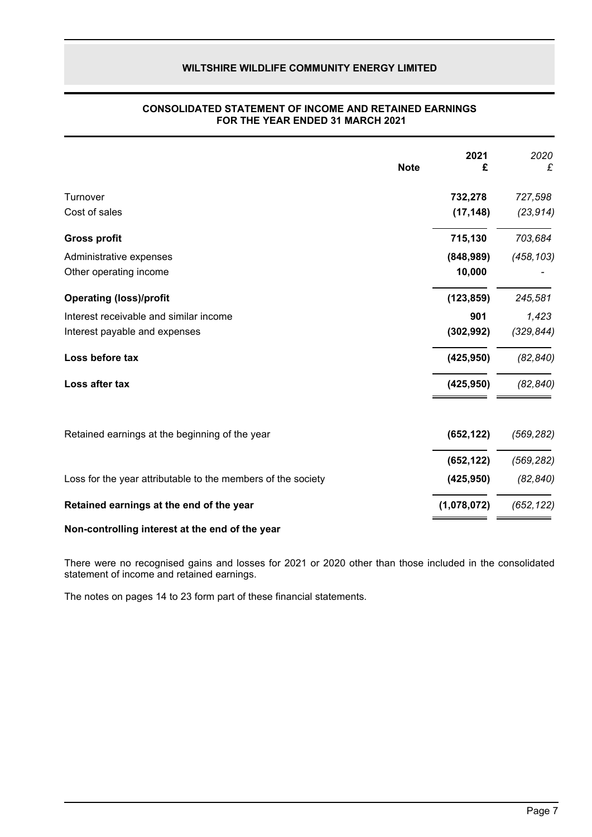|                                                              | <b>Note</b> | 2021<br>£   | 2020<br>£  |
|--------------------------------------------------------------|-------------|-------------|------------|
| Turnover                                                     |             | 732,278     | 727,598    |
| Cost of sales                                                |             | (17, 148)   | (23, 914)  |
| <b>Gross profit</b>                                          |             | 715,130     | 703,684    |
| Administrative expenses                                      |             | (848,989)   | (458, 103) |
| Other operating income                                       |             | 10,000      |            |
| <b>Operating (loss)/profit</b>                               |             | (123, 859)  | 245,581    |
| Interest receivable and similar income                       |             | 901         | 1,423      |
| Interest payable and expenses                                |             | (302, 992)  | (329, 844) |
| Loss before tax                                              |             | (425, 950)  | (82, 840)  |
| Loss after tax                                               |             | (425, 950)  | (82, 840)  |
| Retained earnings at the beginning of the year               |             | (652, 122)  | (569, 282) |
|                                                              |             | (652, 122)  | (569, 282) |
| Loss for the year attributable to the members of the society |             | (425, 950)  | (82, 840)  |
| Retained earnings at the end of the year                     |             | (1,078,072) | (652, 122) |
| Non-controlling interest at the end of the year              |             |             |            |

#### **CONSOLIDATED STATEMENT OF INCOME AND RETAINED EARNINGS FOR THE YEAR ENDED 31 MARCH 2021**

There were no recognised gains and losses for 2021 or 2020 other than those included in the consolidated statement of income and retained earnings.

The notes on pages 14 to 23 form part of these financial statements.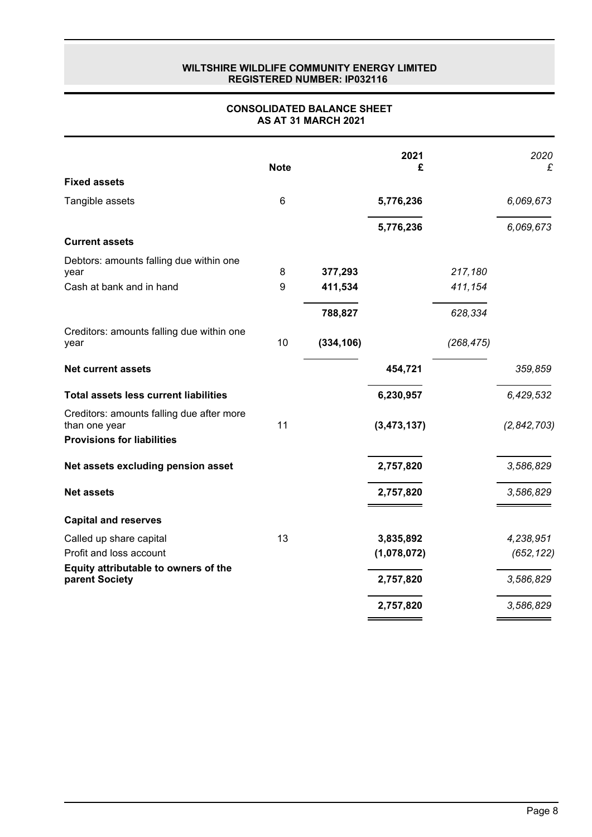|                                                            | <b>Note</b> |            | 2021<br>£     |            | 2020<br>£     |
|------------------------------------------------------------|-------------|------------|---------------|------------|---------------|
| <b>Fixed assets</b>                                        |             |            |               |            |               |
| Tangible assets                                            | 6           |            | 5,776,236     |            | 6,069,673     |
|                                                            |             |            | 5,776,236     |            | 6,069,673     |
| <b>Current assets</b>                                      |             |            |               |            |               |
| Debtors: amounts falling due within one<br>year            | 8           | 377,293    |               | 217,180    |               |
| Cash at bank and in hand                                   | 9           | 411,534    |               | 411,154    |               |
|                                                            |             | 788,827    |               | 628,334    |               |
| Creditors: amounts falling due within one<br>year          | 10          | (334, 106) |               | (268, 475) |               |
| <b>Net current assets</b>                                  |             |            | 454,721       |            | 359,859       |
| <b>Total assets less current liabilities</b>               |             |            | 6,230,957     |            | 6,429,532     |
| Creditors: amounts falling due after more<br>than one year | 11          |            | (3, 473, 137) |            | (2, 842, 703) |
| <b>Provisions for liabilities</b>                          |             |            |               |            |               |
| Net assets excluding pension asset                         |             |            | 2,757,820     |            | 3,586,829     |
| <b>Net assets</b>                                          |             |            | 2,757,820     |            | 3,586,829     |
| <b>Capital and reserves</b>                                |             |            |               |            |               |
| Called up share capital                                    | 13          |            | 3,835,892     |            | 4,238,951     |
| Profit and loss account                                    |             |            | (1,078,072)   |            | (652, 122)    |
| Equity attributable to owners of the<br>parent Society     |             |            | 2,757,820     |            | 3,586,829     |
|                                                            |             |            | 2,757,820     |            | 3,586,829     |

# **CONSOLIDATED BALANCE SHEET AS AT 31 MARCH 2021**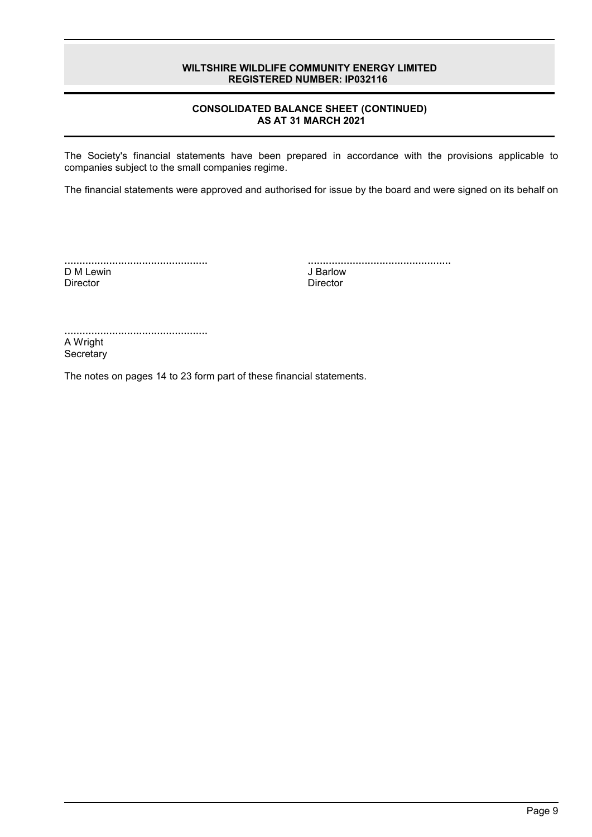# **CONSOLIDATED BALANCE SHEET (CONTINUED) AS AT 31 MARCH 2021**

The Society's financial statements have been prepared in accordance with the provisions applicable to companies subject to the small companies regime.

The financial statements were approved and authorised for issue by the board and were signed on its behalf on

................................................ D M Lewin Director

................................................ J Barlow

................................................ A Wright **Secretary** 

The notes on pages 14 to 23 form part of these financial statements.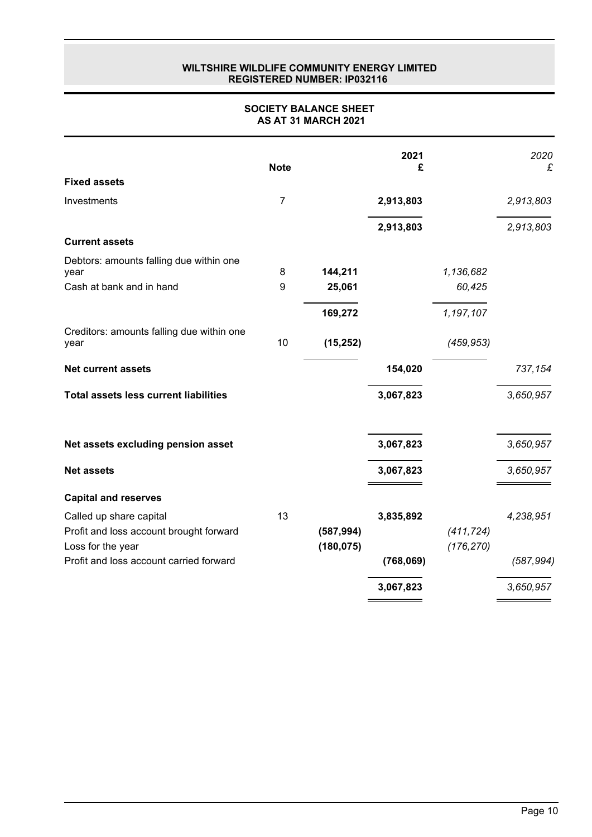|                                                              | <b>Note</b>    |            | 2021<br>£ |            | 2020<br>£  |
|--------------------------------------------------------------|----------------|------------|-----------|------------|------------|
| <b>Fixed assets</b>                                          |                |            |           |            |            |
| Investments                                                  | $\overline{7}$ |            | 2,913,803 |            | 2,913,803  |
|                                                              |                |            | 2,913,803 |            | 2,913,803  |
| <b>Current assets</b>                                        |                |            |           |            |            |
| Debtors: amounts falling due within one<br>year              | 8              | 144,211    |           | 1,136,682  |            |
| Cash at bank and in hand                                     | 9              | 25,061     |           | 60,425     |            |
|                                                              |                | 169,272    |           | 1,197,107  |            |
| Creditors: amounts falling due within one<br>year            | 10             | (15, 252)  |           | (459, 953) |            |
| <b>Net current assets</b>                                    |                |            | 154,020   |            | 737,154    |
| <b>Total assets less current liabilities</b>                 |                |            | 3,067,823 |            | 3,650,957  |
| Net assets excluding pension asset                           |                |            | 3,067,823 |            | 3,650,957  |
| <b>Net assets</b>                                            |                |            | 3,067,823 |            | 3,650,957  |
| <b>Capital and reserves</b>                                  |                |            |           |            |            |
| Called up share capital                                      | 13             |            | 3,835,892 |            | 4,238,951  |
| Profit and loss account brought forward                      |                | (587, 994) |           | (411, 724) |            |
| Loss for the year<br>Profit and loss account carried forward |                | (180, 075) | (768,069) | (176, 270) | (587, 994) |
|                                                              |                |            | 3,067,823 |            | 3,650,957  |

# **SOCIETY BALANCE SHEET AS AT 31 MARCH 2021**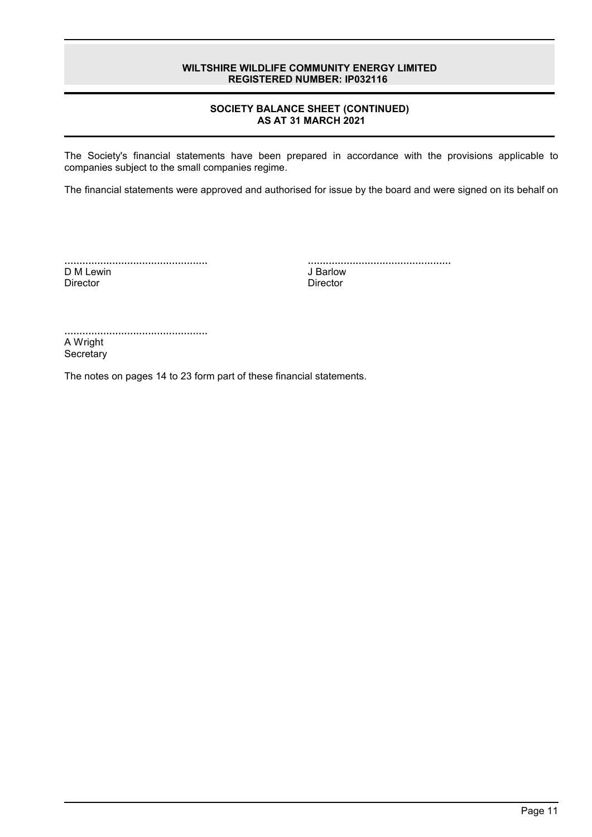# **SOCIETY BALANCE SHEET (CONTINUED) AS AT 31 MARCH 2021**

The Society's financial statements have been prepared in accordance with the provisions applicable to companies subject to the small companies regime.

The financial statements were approved and authorised for issue by the board and were signed on its behalf on

................................................ D M Lewin Director

................................................ J Barlow

................................................ A Wright **Secretary** 

The notes on pages 14 to 23 form part of these financial statements.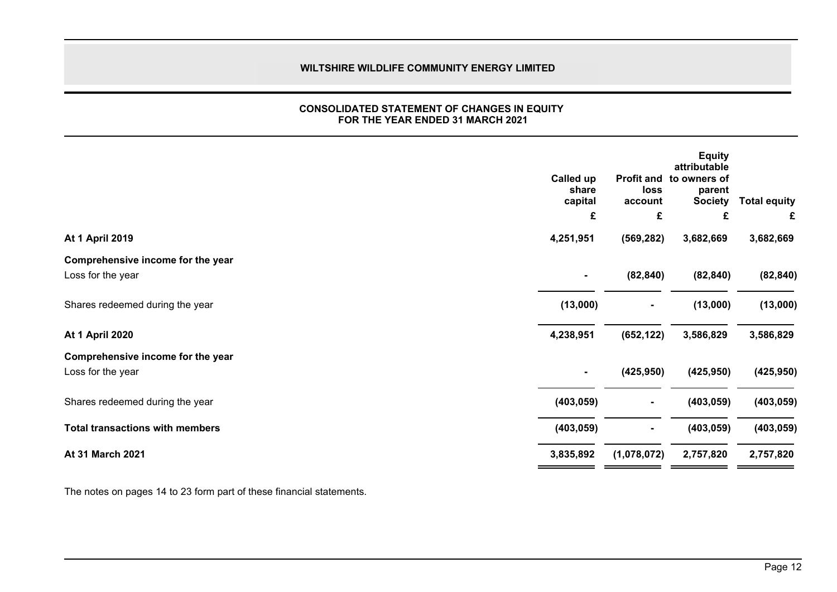#### **CONSOLIDATED STATEMENT OF CHANGES IN EQUITY FOR THE YEAR ENDED 31 MARCH 2021**

|                                                        | Called up<br>share<br>capital<br>£ | <b>Profit and</b><br><b>loss</b><br>account<br>£ | <b>Equity</b><br>attributable<br>to owners of<br>parent<br><b>Society</b><br>£ | <b>Total equity</b><br>£ |
|--------------------------------------------------------|------------------------------------|--------------------------------------------------|--------------------------------------------------------------------------------|--------------------------|
| <b>At 1 April 2019</b>                                 | 4,251,951                          | (569, 282)                                       | 3,682,669                                                                      | 3,682,669                |
| Comprehensive income for the year<br>Loss for the year |                                    | (82, 840)                                        | (82, 840)                                                                      | (82, 840)                |
| Shares redeemed during the year                        | (13,000)                           |                                                  | (13,000)                                                                       | (13,000)                 |
| <b>At 1 April 2020</b>                                 | 4,238,951                          | (652, 122)                                       | 3,586,829                                                                      | 3,586,829                |
| Comprehensive income for the year                      |                                    |                                                  |                                                                                |                          |
| Loss for the year                                      |                                    | (425, 950)                                       | (425, 950)                                                                     | (425, 950)               |
| Shares redeemed during the year                        | (403, 059)                         | ٠                                                | (403, 059)                                                                     | (403, 059)               |
| <b>Total transactions with members</b>                 | (403, 059)                         | ٠                                                | (403, 059)                                                                     | (403, 059)               |
| At 31 March 2021                                       | 3,835,892                          | (1,078,072)                                      | 2,757,820                                                                      | 2,757,820                |

The notes on pages 14 to 23 form part of these financial statements.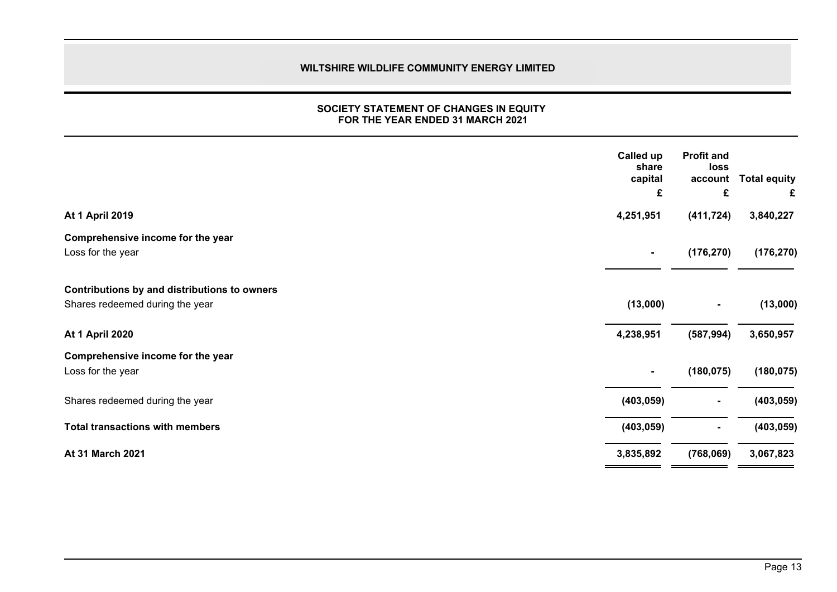### **SOCIETY STATEMENT OF CHANGES IN EQUITY FOR THE YEAR ENDED 31 MARCH 2021**

|                                                                                 | Called up<br>share<br>capital<br>£ | <b>Profit and</b><br>loss<br>account<br>£ | <b>Total equity</b><br>£ |
|---------------------------------------------------------------------------------|------------------------------------|-------------------------------------------|--------------------------|
| <b>At 1 April 2019</b>                                                          | 4,251,951                          | (411, 724)                                | 3,840,227                |
| Comprehensive income for the year<br>Loss for the year                          | $\blacksquare$                     | (176, 270)                                | (176, 270)               |
| Contributions by and distributions to owners<br>Shares redeemed during the year | (13,000)                           |                                           | (13,000)                 |
| <b>At 1 April 2020</b>                                                          | 4,238,951                          | (587, 994)                                | 3,650,957                |
| Comprehensive income for the year<br>Loss for the year                          |                                    | (180, 075)                                | (180, 075)               |
| Shares redeemed during the year                                                 | (403, 059)                         | $\blacksquare$                            | (403, 059)               |
| <b>Total transactions with members</b>                                          | (403, 059)                         | $\blacksquare$                            | (403, 059)               |
| At 31 March 2021                                                                | 3,835,892                          | (768,069)                                 | 3,067,823                |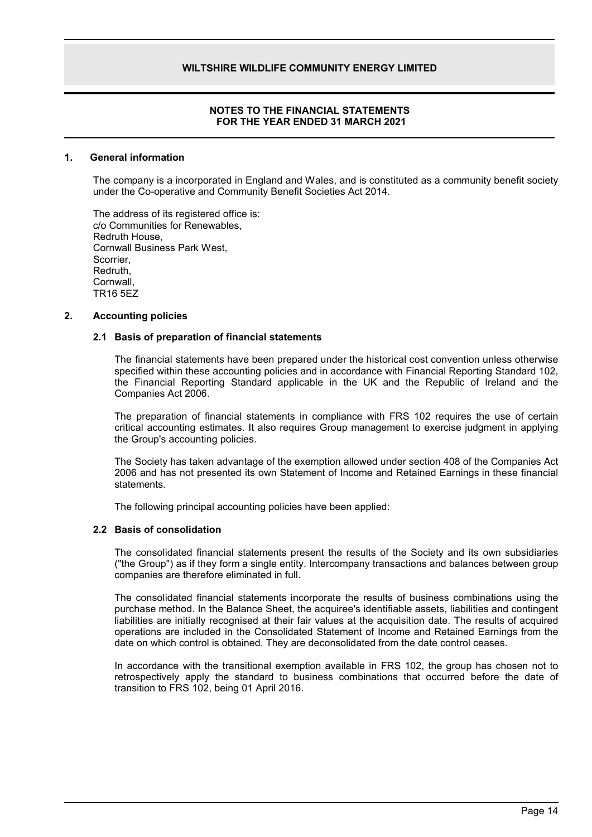# **NOTES TO THE FINANCIAL STATEMENTS FOR THE YEAR ENDED 31 MARCH 2021**

### **1. General information**

The company is a incorporated in England and Wales, and is constituted as a community benefit society under the Co-operative and Community Benefit Societies Act 2014.

The address of its registered office is: c/o Communities for Renewables, Redruth House, Cornwall Business Park West, Scorrier, Redruth, Cornwall, TR16 5EZ

#### **2. Accounting policies**

#### **2.1 Basis of preparation of financial statements**

The financial statements have been prepared under the historical cost convention unless otherwise specified within these accounting policies and in accordance with Financial Reporting Standard 102, the Financial Reporting Standard applicable in the UK and the Republic of Ireland and the Companies Act 2006.

The preparation of financial statements in compliance with FRS 102 requires the use of certain critical accounting estimates. It also requires Group management to exercise judgment in applying the Group's accounting policies.

The Society has taken advantage of the exemption allowed under section 408 of the Companies Act 2006 and has not presented its own Statement of Income and Retained Earnings in these financial statements.

The following principal accounting policies have been applied:

#### **2.2 Basis of consolidation**

The consolidated financial statements present the results of the Society and its own subsidiaries ("the Group") as if they form a single entity. Intercompany transactions and balances between group companies are therefore eliminated in full.

The consolidated financial statements incorporate the results of business combinations using the purchase method. In the Balance Sheet, the acquiree's identifiable assets, liabilities and contingent liabilities are initially recognised at their fair values at the acquisition date. The results of acquired operations are included in the Consolidated Statement of Income and Retained Earnings from the date on which control is obtained. They are deconsolidated from the date control ceases.

In accordance with the transitional exemption available in FRS 102, the group has chosen not to retrospectively apply the standard to business combinations that occurred before the date of transition to FRS 102, being 01 April 2016.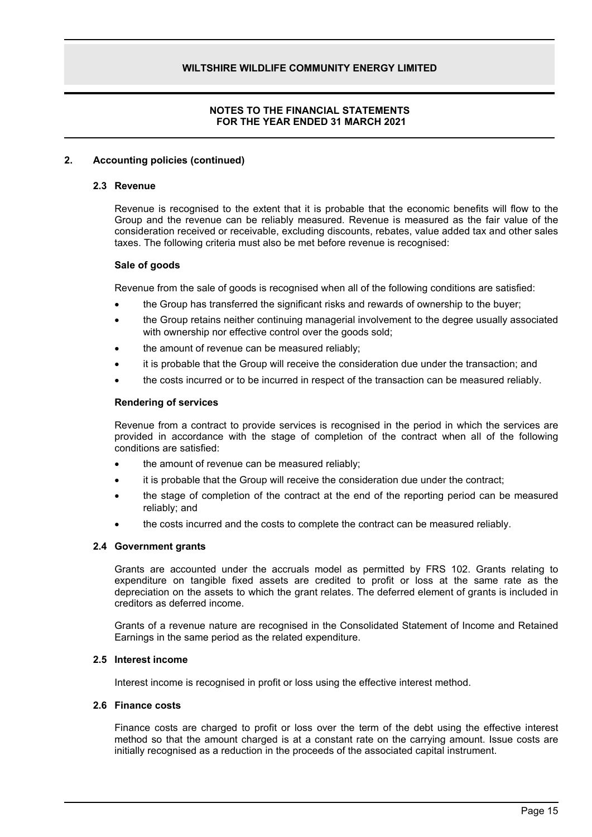# **NOTES TO THE FINANCIAL STATEMENTS FOR THE YEAR ENDED 31 MARCH 2021**

# **2. Accounting policies (continued)**

#### **2.3 Revenue**

Revenue is recognised to the extent that it is probable that the economic benefits will flow to the Group and the revenue can be reliably measured. Revenue is measured as the fair value of the consideration received or receivable, excluding discounts, rebates, value added tax and other sales taxes. The following criteria must also be met before revenue is recognised:

#### **Sale of goods**

Revenue from the sale of goods is recognised when all of the following conditions are satisfied:

- the Group has transferred the significant risks and rewards of ownership to the buyer;
- the Group retains neither continuing managerial involvement to the degree usually associated with ownership nor effective control over the goods sold;
- the amount of revenue can be measured reliably;
- it is probable that the Group will receive the consideration due under the transaction; and
- the costs incurred or to be incurred in respect of the transaction can be measured reliably.

#### **Rendering of services**

Revenue from a contract to provide services is recognised in the period in which the services are provided in accordance with the stage of completion of the contract when all of the following conditions are satisfied:

- the amount of revenue can be measured reliably;
- it is probable that the Group will receive the consideration due under the contract;
- the stage of completion of the contract at the end of the reporting period can be measured reliably; and
- the costs incurred and the costs to complete the contract can be measured reliably.

#### **2.4 Government grants**

Grants are accounted under the accruals model as permitted by FRS 102. Grants relating to expenditure on tangible fixed assets are credited to profit or loss at the same rate as the depreciation on the assets to which the grant relates. The deferred element of grants is included in creditors as deferred income.

Grants of a revenue nature are recognised in the Consolidated Statement of Income and Retained Earnings in the same period as the related expenditure.

#### **2.5 Interest income**

Interest income is recognised in profit or loss using the effective interest method.

#### **2.6 Finance costs**

Finance costs are charged to profit or loss over the term of the debt using the effective interest method so that the amount charged is at a constant rate on the carrying amount. Issue costs are initially recognised as a reduction in the proceeds of the associated capital instrument.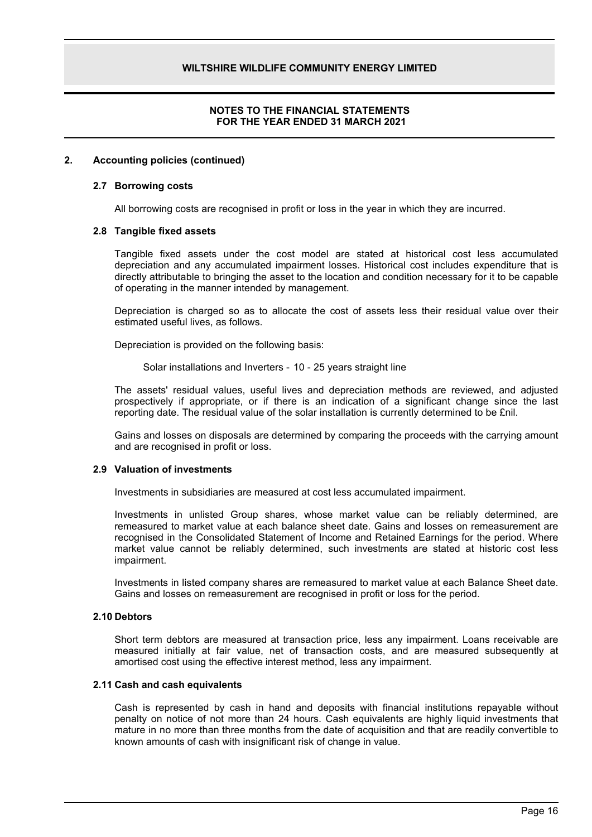### **NOTES TO THE FINANCIAL STATEMENTS FOR THE YEAR ENDED 31 MARCH 2021**

# **2. Accounting policies (continued)**

#### **2.7 Borrowing costs**

All borrowing costs are recognised in profit or loss in the year in which they are incurred.

#### **2.8 Tangible fixed assets**

Tangible fixed assets under the cost model are stated at historical cost less accumulated depreciation and any accumulated impairment losses. Historical cost includes expenditure that is directly attributable to bringing the asset to the location and condition necessary for it to be capable of operating in the manner intended by management.

Depreciation is charged so as to allocate the cost of assets less their residual value over their estimated useful lives, as follows.

Depreciation is provided on the following basis:

Solar installations and Inverters - 10 - 25 years straight line

The assets' residual values, useful lives and depreciation methods are reviewed, and adjusted prospectively if appropriate, or if there is an indication of a significant change since the last reporting date. The residual value of the solar installation is currently determined to be £nil.

Gains and losses on disposals are determined by comparing the proceeds with the carrying amount and are recognised in profit or loss.

#### **2.9 Valuation of investments**

Investments in subsidiaries are measured at cost less accumulated impairment.

Investments in unlisted Group shares, whose market value can be reliably determined, are remeasured to market value at each balance sheet date. Gains and losses on remeasurement are recognised in the Consolidated Statement of Income and Retained Earnings for the period. Where market value cannot be reliably determined, such investments are stated at historic cost less impairment.

Investments in listed company shares are remeasured to market value at each Balance Sheet date. Gains and losses on remeasurement are recognised in profit or loss for the period.

#### **2.10 Debtors**

Short term debtors are measured at transaction price, less any impairment. Loans receivable are measured initially at fair value, net of transaction costs, and are measured subsequently at amortised cost using the effective interest method, less any impairment.

#### **2.11 Cash and cash equivalents**

Cash is represented by cash in hand and deposits with financial institutions repayable without penalty on notice of not more than 24 hours. Cash equivalents are highly liquid investments that mature in no more than three months from the date of acquisition and that are readily convertible to known amounts of cash with insignificant risk of change in value.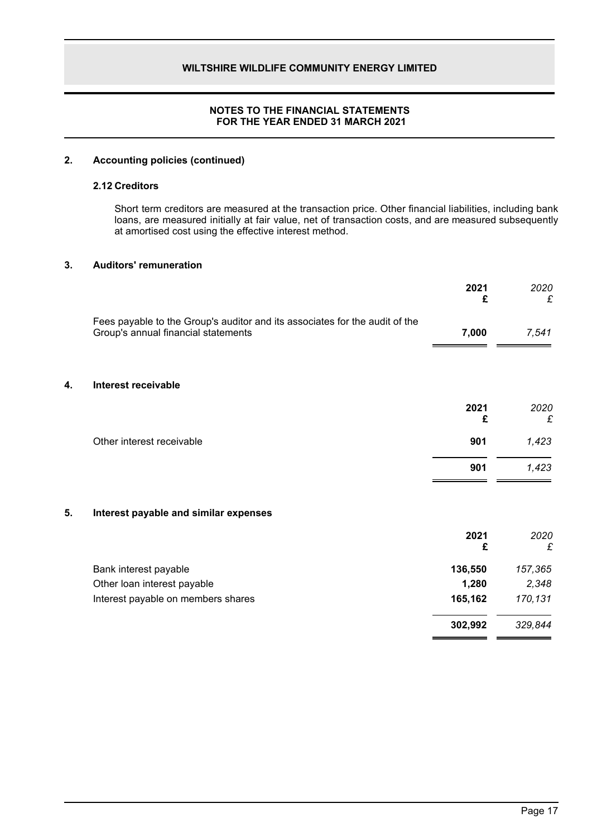# **NOTES TO THE FINANCIAL STATEMENTS FOR THE YEAR ENDED 31 MARCH 2021**

# **2. Accounting policies (continued)**

### **2.12 Creditors**

Short term creditors are measured at the transaction price. Other financial liabilities, including bank loans, are measured initially at fair value, net of transaction costs, and are measured subsequently at amortised cost using the effective interest method.

### **3. Auditors' remuneration**

|    |                                                                                                                    | 2021<br>£ | 2020<br>£ |
|----|--------------------------------------------------------------------------------------------------------------------|-----------|-----------|
|    | Fees payable to the Group's auditor and its associates for the audit of the<br>Group's annual financial statements | 7,000     | 7,541     |
|    |                                                                                                                    |           |           |
| 4. | Interest receivable                                                                                                |           |           |
|    |                                                                                                                    | 2021<br>£ | 2020<br>£ |
|    | Other interest receivable                                                                                          | 901       | 1,423     |
|    |                                                                                                                    | 901       | 1,423     |
| 5. | Interest payable and similar expenses                                                                              |           |           |
|    |                                                                                                                    | 2021<br>£ | 2020<br>£ |
|    | Bank interest payable                                                                                              | 136,550   | 157,365   |
|    | Other loan interest payable                                                                                        | 1,280     | 2,348     |
|    | Interest payable on members shares                                                                                 | 165,162   | 170,131   |
|    |                                                                                                                    | 302,992   | 329,844   |
|    |                                                                                                                    |           |           |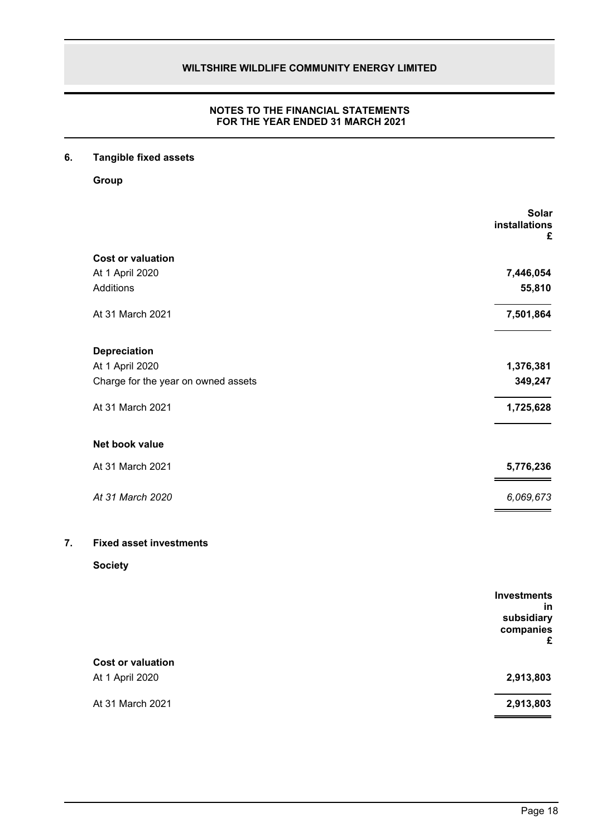# **NOTES TO THE FINANCIAL STATEMENTS FOR THE YEAR ENDED 31 MARCH 2021**

# **6. Tangible fixed assets**

**Group**

|    |                                     | Solar<br>installations<br>£ |
|----|-------------------------------------|-----------------------------|
|    | <b>Cost or valuation</b>            |                             |
|    | At 1 April 2020                     | 7,446,054                   |
|    | Additions                           | 55,810                      |
|    | At 31 March 2021                    | 7,501,864                   |
|    | <b>Depreciation</b>                 |                             |
|    | At 1 April 2020                     | 1,376,381                   |
|    | Charge for the year on owned assets | 349,247                     |
|    | At 31 March 2021                    | 1,725,628                   |
|    | Net book value                      |                             |
|    | At 31 March 2021                    | 5,776,236                   |
|    | At 31 March 2020                    | 6,069,673                   |
| 7. | <b>Fixed asset investments</b>      |                             |
|    | <b>Society</b>                      |                             |
|    |                                     | <b>Investments</b>          |
|    |                                     | in                          |
|    |                                     | subsidiary<br>companies     |
|    |                                     | £                           |
|    | <b>Cost or valuation</b>            |                             |
|    | At 1 April 2020                     | 2,913,803                   |
|    | At 31 March 2021                    | 2,913,803                   |
|    |                                     |                             |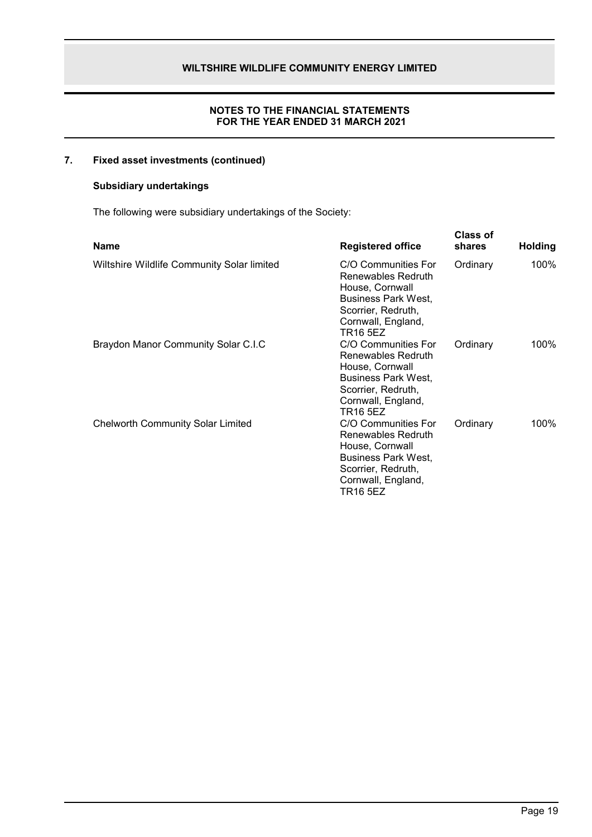# **NOTES TO THE FINANCIAL STATEMENTS FOR THE YEAR ENDED 31 MARCH 2021**

# **7. Fixed asset investments (continued)**

# **Subsidiary undertakings**

The following were subsidiary undertakings of the Society:

| <b>Name</b>                                | <b>Registered office</b>                                                                                                                           | <b>Class of</b><br>shares | <b>Holding</b> |
|--------------------------------------------|----------------------------------------------------------------------------------------------------------------------------------------------------|---------------------------|----------------|
| Wiltshire Wildlife Community Solar limited | C/O Communities For<br>Renewables Redruth<br>House, Cornwall<br><b>Business Park West,</b><br>Scorrier, Redruth,<br>Cornwall, England,<br>TR16 5EZ | Ordinary                  | 100%           |
| Braydon Manor Community Solar C.I.C        | C/O Communities For<br>Renewables Redruth<br>House, Cornwall<br>Business Park West,<br>Scorrier, Redruth,<br>Cornwall, England,<br>TR16 5EZ        | Ordinary                  | 100%           |
| <b>Chelworth Community Solar Limited</b>   | C/O Communities For<br>Renewables Redruth<br>House, Cornwall<br>Business Park West,<br>Scorrier, Redruth,<br>Cornwall, England,<br>TR16 5EZ        | Ordinary                  | 100%           |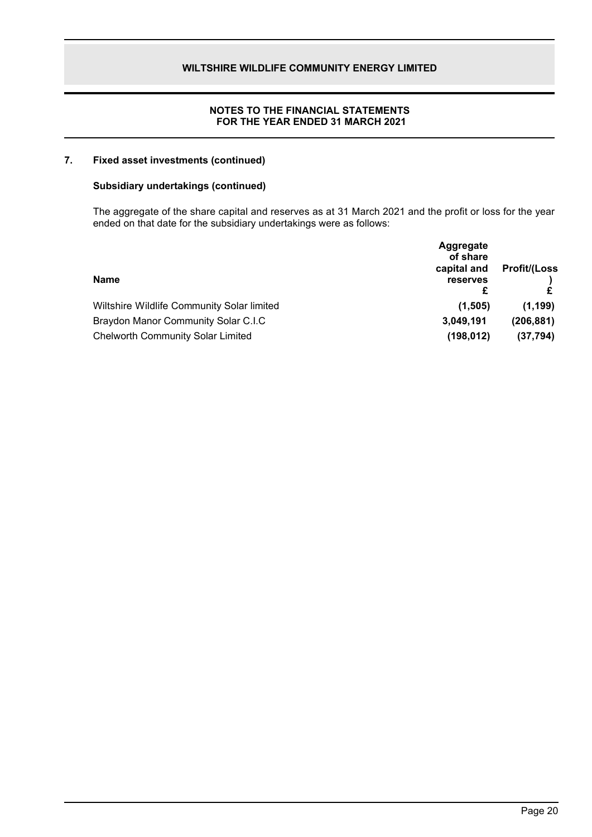# **NOTES TO THE FINANCIAL STATEMENTS FOR THE YEAR ENDED 31 MARCH 2021**

# **7. Fixed asset investments (continued)**

# **Subsidiary undertakings (continued)**

The aggregate of the share capital and reserves as at 31 March 2021 and the profit or loss for the year ended on that date for the subsidiary undertakings were as follows:

| <b>Name</b>                                | Aggregate<br>of share<br>capital and<br>reserves | <b>Profit/(Loss</b> |
|--------------------------------------------|--------------------------------------------------|---------------------|
| Wiltshire Wildlife Community Solar limited | (1, 505)                                         | (1, 199)            |
| Braydon Manor Community Solar C.I.C        | 3,049,191                                        | (206, 881)          |
| <b>Chelworth Community Solar Limited</b>   | (198, 012)                                       | (37, 794)           |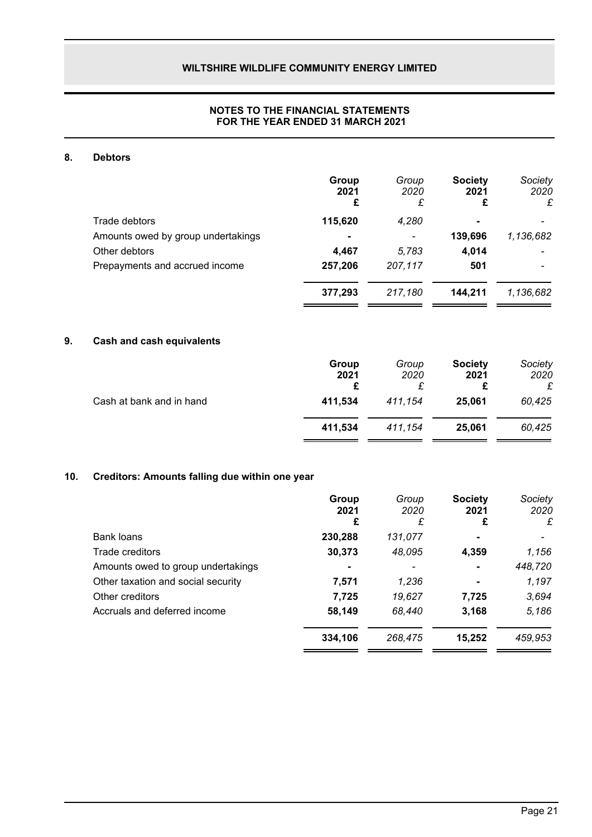# **NOTES TO THE FINANCIAL STATEMENTS FOR THE YEAR ENDED 31 MARCH 2021**

### **8. Debtors**

|                                    | Group<br>2021<br>£ | Group<br>2020<br>£ | <b>Society</b><br>2021 | Society<br>2020<br>£ |
|------------------------------------|--------------------|--------------------|------------------------|----------------------|
| Trade debtors                      | 115,620            | 4,280              | $\blacksquare$         |                      |
| Amounts owed by group undertakings |                    |                    | 139,696                | 1,136,682            |
| Other debtors                      | 4,467              | 5,783              | 4,014                  |                      |
| Prepayments and accrued income     | 257,206            | 207,117            | 501                    |                      |
|                                    | 377,293            | 217,180            | 144.211                | 1,136,682            |

# **9. Cash and cash equivalents**

|                          | Group<br>2021 | Group<br>2020 | <b>Society</b><br>2021 | Society<br>2020<br>£ |
|--------------------------|---------------|---------------|------------------------|----------------------|
| Cash at bank and in hand | 411.534       | 411.154       | 25.061                 | 60,425               |
|                          | 411.534       | 411.154       | 25.061                 | 60,425               |

# **10. Creditors: Amounts falling due within one year**

|                                    | Group<br>2021 | Group<br>2020 | <b>Society</b><br>2021 | Society<br>2020 |
|------------------------------------|---------------|---------------|------------------------|-----------------|
|                                    | £             | £             | £                      | £               |
| Bank loans                         | 230,288       | 131,077       | $\blacksquare$         |                 |
| Trade creditors                    | 30,373        | 48,095        | 4,359                  | 1,156           |
| Amounts owed to group undertakings |               |               | $\blacksquare$         | 448,720         |
| Other taxation and social security | 7,571         | 1,236         | $\blacksquare$         | 1,197           |
| Other creditors                    | 7,725         | 19,627        | 7,725                  | 3,694           |
| Accruals and deferred income       | 58,149        | 68,440        | 3,168                  | 5,186           |
|                                    | 334,106       | 268,475       | 15,252                 | 459,953         |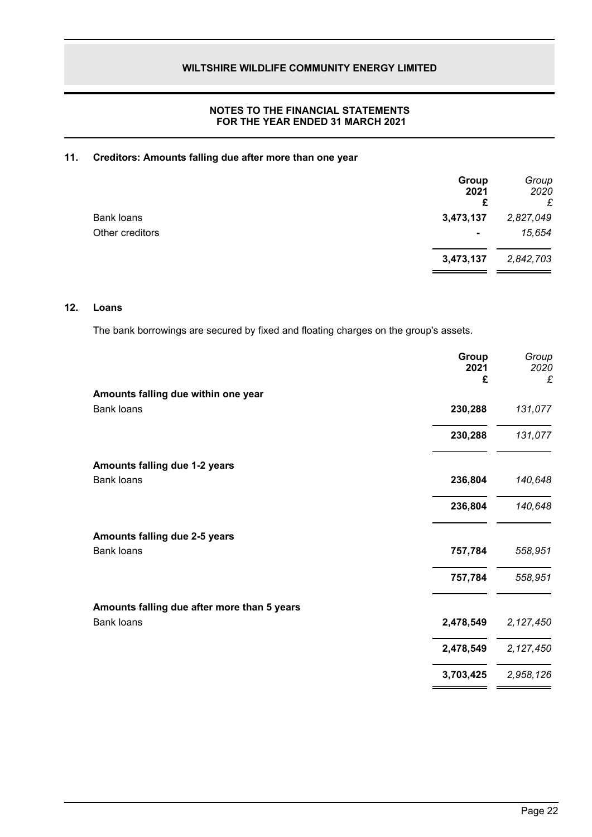# **NOTES TO THE FINANCIAL STATEMENTS FOR THE YEAR ENDED 31 MARCH 2021**

# **11. Creditors: Amounts falling due after more than one year**

| Group          | Group<br>2020 |
|----------------|---------------|
| £              | £             |
| 3,473,137      | 2,827,049     |
| $\blacksquare$ | 15,654        |
| 3,473,137      | 2,842,703     |
|                | 2021          |

### **12. Loans**

The bank borrowings are secured by fixed and floating charges on the group's assets.

|                                             | Group<br>2021<br>£ | Group<br>2020<br>£ |
|---------------------------------------------|--------------------|--------------------|
| Amounts falling due within one year         |                    |                    |
| <b>Bank loans</b>                           | 230,288            | 131,077            |
|                                             | 230,288            | 131,077            |
| Amounts falling due 1-2 years               |                    |                    |
| <b>Bank loans</b>                           | 236,804            | 140,648            |
|                                             | 236,804            | 140,648            |
| Amounts falling due 2-5 years               |                    |                    |
| <b>Bank loans</b>                           | 757,784            | 558,951            |
|                                             | 757,784            | 558,951            |
| Amounts falling due after more than 5 years |                    |                    |
| <b>Bank loans</b>                           | 2,478,549          | 2,127,450          |
|                                             | 2,478,549          | 2,127,450          |
|                                             | 3,703,425          | 2,958,126          |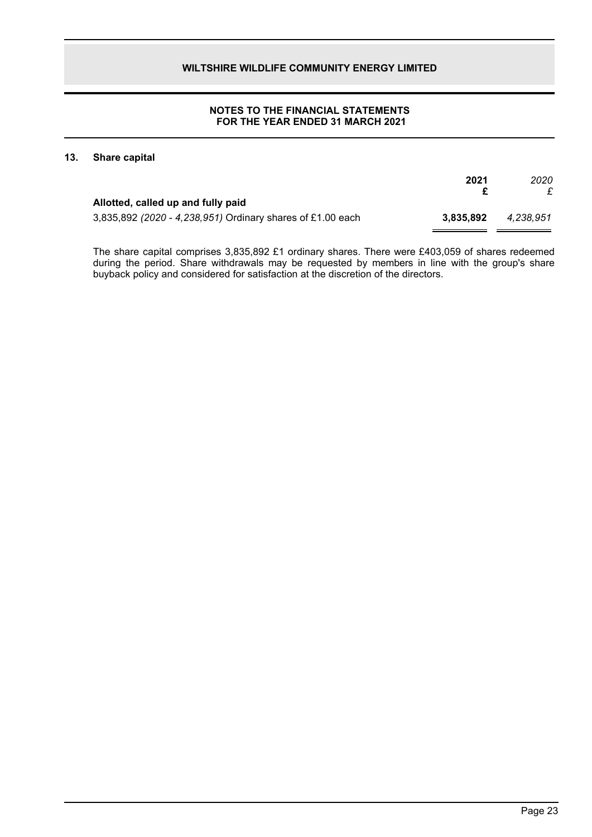# **NOTES TO THE FINANCIAL STATEMENTS FOR THE YEAR ENDED 31 MARCH 2021**

# **13. Share capital**

|                                                            | 2021      | 2020      |
|------------------------------------------------------------|-----------|-----------|
| Allotted, called up and fully paid                         |           |           |
| 3,835,892 (2020 - 4,238,951) Ordinary shares of £1.00 each | 3.835.892 | 4.238.951 |

The share capital comprises 3,835,892 £1 ordinary shares. There were £403,059 of shares redeemed during the period. Share withdrawals may be requested by members in line with the group's share buyback policy and considered for satisfaction at the discretion of the directors.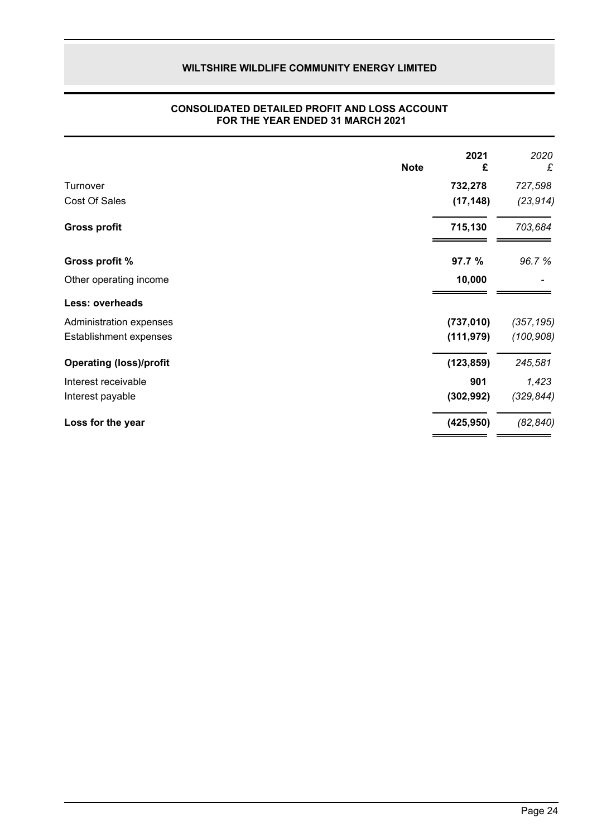|                                | <b>Note</b> | 2021<br>£  | 2020<br>£  |
|--------------------------------|-------------|------------|------------|
| Turnover                       |             | 732,278    | 727,598    |
| Cost Of Sales                  |             | (17, 148)  | (23, 914)  |
| <b>Gross profit</b>            |             | 715,130    | 703,684    |
| Gross profit %                 |             | 97.7 %     | 96.7 %     |
| Other operating income         |             | 10,000     |            |
| <b>Less: overheads</b>         |             |            |            |
| Administration expenses        |             | (737, 010) | (357, 195) |
| Establishment expenses         |             | (111, 979) | (100, 908) |
| <b>Operating (loss)/profit</b> |             | (123, 859) | 245,581    |
| Interest receivable            |             | 901        | 1,423      |
| Interest payable               |             | (302, 992) | (329,844)  |
| Loss for the year              |             | (425, 950) | (82, 840)  |

### **CONSOLIDATED DETAILED PROFIT AND LOSS ACCOUNT FOR THE YEAR ENDED 31 MARCH 2021**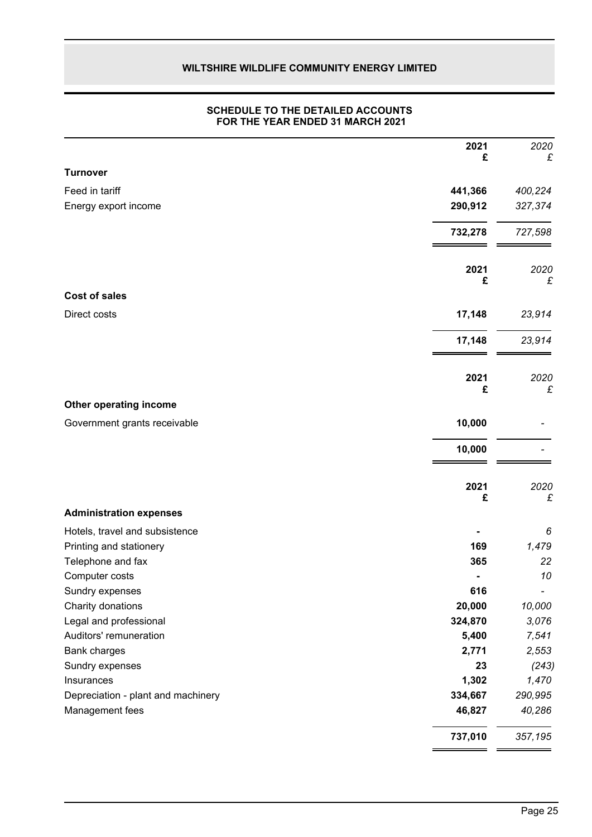|                                                       | 2021<br>£         | 2020<br>£         |
|-------------------------------------------------------|-------------------|-------------------|
| <b>Turnover</b>                                       |                   |                   |
| Feed in tariff                                        | 441,366           | 400,224           |
| Energy export income                                  | 290,912           | 327,374           |
|                                                       | 732,278           | 727,598           |
|                                                       | 2021              | 2020              |
| <b>Cost of sales</b>                                  | £                 | £                 |
| Direct costs                                          | 17,148            | 23,914            |
|                                                       |                   |                   |
|                                                       | 17,148            | 23,914            |
|                                                       | 2021              | 2020              |
|                                                       | £                 | £                 |
| Other operating income                                |                   |                   |
| Government grants receivable                          | 10,000            |                   |
|                                                       | 10,000            |                   |
|                                                       | 2021              | 2020              |
|                                                       | £                 | £                 |
| <b>Administration expenses</b>                        |                   |                   |
| Hotels, travel and subsistence                        |                   | 6                 |
| Printing and stationery                               | 169               | 1,479             |
| Telephone and fax                                     | 365               | 22                |
| Computer costs                                        |                   | 10                |
| Sundry expenses                                       | 616               |                   |
| Charity donations                                     | 20,000            | 10,000            |
| Legal and professional                                | 324,870           | 3,076             |
| Auditors' remuneration                                | 5,400             | 7,541             |
| <b>Bank charges</b>                                   | 2,771             | 2,553             |
| Sundry expenses                                       | 23                | (243)             |
| Insurances                                            | 1,302             | 1,470             |
| Depreciation - plant and machinery<br>Management fees | 334,667<br>46,827 | 290,995<br>40,286 |
|                                                       |                   |                   |
|                                                       | 737,010           | 357,195           |

### **SCHEDULE TO THE DETAILED ACCOUNTS FOR THE YEAR ENDED 31 MARCH 2021**